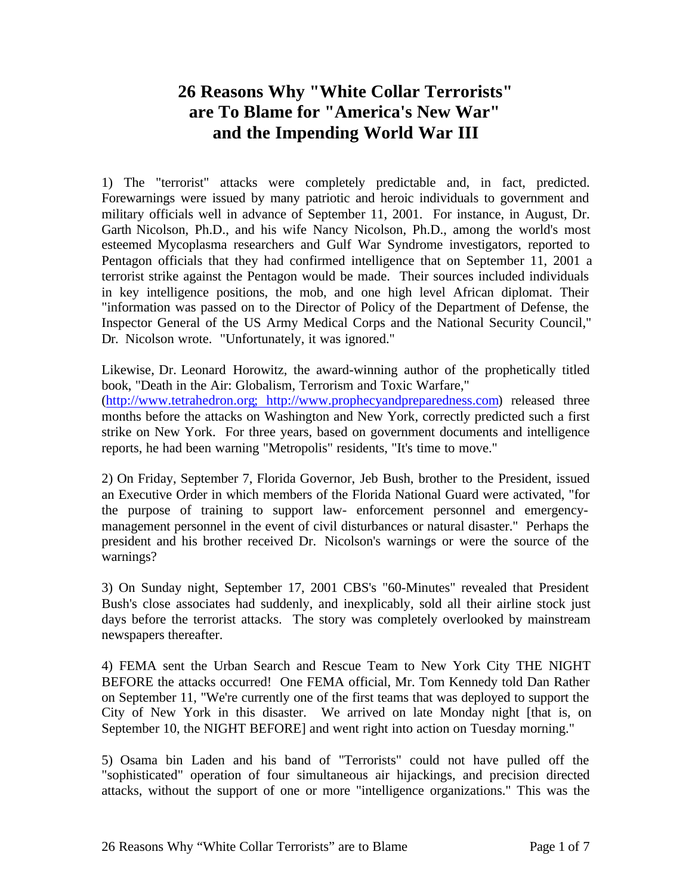## **26 Reasons Why "White Collar Terrorists" are To Blame for "America's New War" and the Impending World War III**

1) The "terrorist" attacks were completely predictable and, in fact, predicted. Forewarnings were issued by many patriotic and heroic individuals to government and military officials well in advance of September 11, 2001. For instance, in August, Dr. Garth Nicolson, Ph.D., and his wife Nancy Nicolson, Ph.D., among the world's most esteemed Mycoplasma researchers and Gulf War Syndrome investigators, reported to Pentagon officials that they had confirmed intelligence that on September 11, 2001 a terrorist strike against the Pentagon would be made. Their sources included individuals in key intelligence positions, the mob, and one high level African diplomat. Their "information was passed on to the Director of Policy of the Department of Defense, the Inspector General of the US Army Medical Corps and the National Security Council," Dr. Nicolson wrote. "Unfortunately, it was ignored."

Likewise, Dr. Leonard Horowitz, the award-winning author of the prophetically titled book, "Death in the Air: Globalism, Terrorism and Toxic Warfare," (http://www.tetrahedron.org; http://www.prophecyandpreparedness.com) released three months before the attacks on Washington and New York, correctly predicted such a first strike on New York. For three years, based on government documents and intelligence reports, he had been warning "Metropolis" residents, "It's time to move."

2) On Friday, September 7, Florida Governor, Jeb Bush, brother to the President, issued an Executive Order in which members of the Florida National Guard were activated, "for the purpose of training to support law- enforcement personnel and emergencymanagement personnel in the event of civil disturbances or natural disaster." Perhaps the president and his brother received Dr. Nicolson's warnings or were the source of the warnings?

3) On Sunday night, September 17, 2001 CBS's "60-Minutes" revealed that President Bush's close associates had suddenly, and inexplicably, sold all their airline stock just days before the terrorist attacks. The story was completely overlooked by mainstream newspapers thereafter.

4) FEMA sent the Urban Search and Rescue Team to New York City THE NIGHT BEFORE the attacks occurred! One FEMA official, Mr. Tom Kennedy told Dan Rather on September 11, "We're currently one of the first teams that was deployed to support the City of New York in this disaster. We arrived on late Monday night [that is, on September 10, the NIGHT BEFORE] and went right into action on Tuesday morning."

5) Osama bin Laden and his band of "Terrorists" could not have pulled off the "sophisticated" operation of four simultaneous air hijackings, and precision directed attacks, without the support of one or more "intelligence organizations." This was the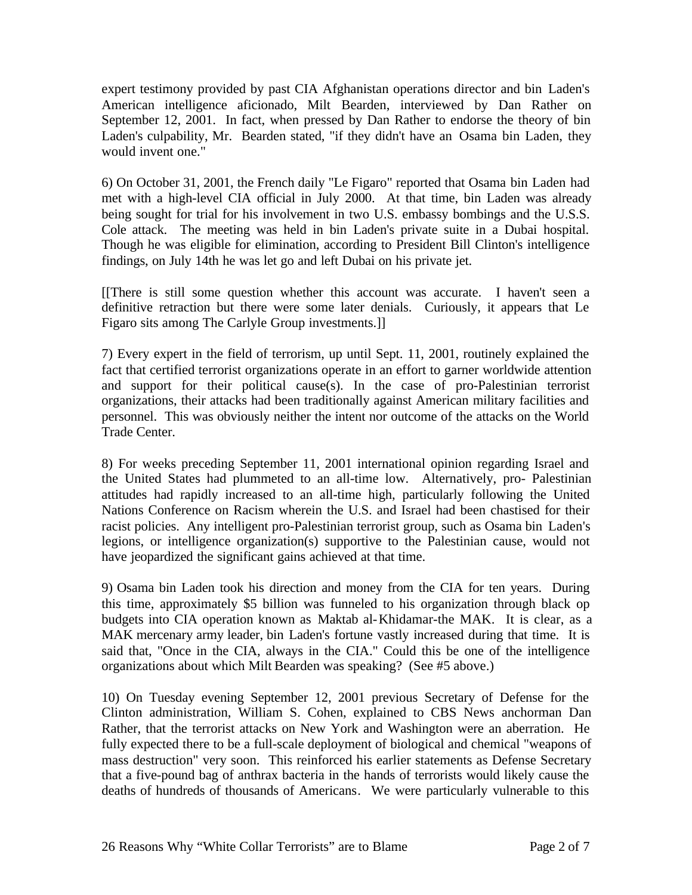expert testimony provided by past CIA Afghanistan operations director and bin Laden's American intelligence aficionado, Milt Bearden, interviewed by Dan Rather on September 12, 2001. In fact, when pressed by Dan Rather to endorse the theory of bin Laden's culpability, Mr. Bearden stated, "if they didn't have an Osama bin Laden, they would invent one."

6) On October 31, 2001, the French daily "Le Figaro" reported that Osama bin Laden had met with a high-level CIA official in July 2000. At that time, bin Laden was already being sought for trial for his involvement in two U.S. embassy bombings and the U.S.S. Cole attack. The meeting was held in bin Laden's private suite in a Dubai hospital. Though he was eligible for elimination, according to President Bill Clinton's intelligence findings, on July 14th he was let go and left Dubai on his private jet.

[[There is still some question whether this account was accurate. I haven't seen a definitive retraction but there were some later denials. Curiously, it appears that Le Figaro sits among The Carlyle Group investments.]]

7) Every expert in the field of terrorism, up until Sept. 11, 2001, routinely explained the fact that certified terrorist organizations operate in an effort to garner worldwide attention and support for their political cause(s). In the case of pro-Palestinian terrorist organizations, their attacks had been traditionally against American military facilities and personnel. This was obviously neither the intent nor outcome of the attacks on the World Trade Center.

8) For weeks preceding September 11, 2001 international opinion regarding Israel and the United States had plummeted to an all-time low. Alternatively, pro- Palestinian attitudes had rapidly increased to an all-time high, particularly following the United Nations Conference on Racism wherein the U.S. and Israel had been chastised for their racist policies. Any intelligent pro-Palestinian terrorist group, such as Osama bin Laden's legions, or intelligence organization(s) supportive to the Palestinian cause, would not have jeopardized the significant gains achieved at that time.

9) Osama bin Laden took his direction and money from the CIA for ten years. During this time, approximately \$5 billion was funneled to his organization through black op budgets into CIA operation known as Maktab al-Khidamar-the MAK. It is clear, as a MAK mercenary army leader, bin Laden's fortune vastly increased during that time. It is said that, "Once in the CIA, always in the CIA." Could this be one of the intelligence organizations about which Milt Bearden was speaking? (See #5 above.)

10) On Tuesday evening September 12, 2001 previous Secretary of Defense for the Clinton administration, William S. Cohen, explained to CBS News anchorman Dan Rather, that the terrorist attacks on New York and Washington were an aberration. He fully expected there to be a full-scale deployment of biological and chemical "weapons of mass destruction" very soon. This reinforced his earlier statements as Defense Secretary that a five-pound bag of anthrax bacteria in the hands of terrorists would likely cause the deaths of hundreds of thousands of Americans. We were particularly vulnerable to this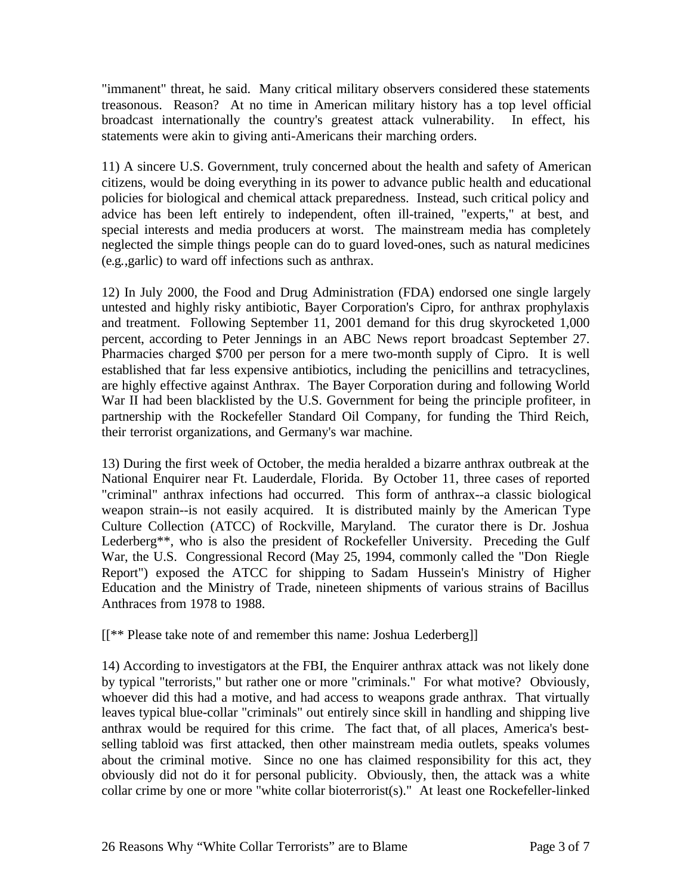"immanent" threat, he said. Many critical military observers considered these statements treasonous. Reason? At no time in American military history has a top level official broadcast internationally the country's greatest attack vulnerability. In effect, his statements were akin to giving anti-Americans their marching orders.

11) A sincere U.S. Government, truly concerned about the health and safety of American citizens, would be doing everything in its power to advance public health and educational policies for biological and chemical attack preparedness. Instead, such critical policy and advice has been left entirely to independent, often ill-trained, "experts," at best, and special interests and media producers at worst. The mainstream media has completely neglected the simple things people can do to guard loved-ones, such as natural medicines (e.g.,garlic) to ward off infections such as anthrax.

12) In July 2000, the Food and Drug Administration (FDA) endorsed one single largely untested and highly risky antibiotic, Bayer Corporation's Cipro, for anthrax prophylaxis and treatment. Following September 11, 2001 demand for this drug skyrocketed 1,000 percent, according to Peter Jennings in an ABC News report broadcast September 27. Pharmacies charged \$700 per person for a mere two-month supply of Cipro. It is well established that far less expensive antibiotics, including the penicillins and tetracyclines, are highly effective against Anthrax. The Bayer Corporation during and following World War II had been blacklisted by the U.S. Government for being the principle profiteer, in partnership with the Rockefeller Standard Oil Company, for funding the Third Reich, their terrorist organizations, and Germany's war machine.

13) During the first week of October, the media heralded a bizarre anthrax outbreak at the National Enquirer near Ft. Lauderdale, Florida. By October 11, three cases of reported "criminal" anthrax infections had occurred. This form of anthrax--a classic biological weapon strain--is not easily acquired. It is distributed mainly by the American Type Culture Collection (ATCC) of Rockville, Maryland. The curator there is Dr. Joshua Lederberg\*\*, who is also the president of Rockefeller University. Preceding the Gulf War, the U.S. Congressional Record (May 25, 1994, commonly called the "Don Riegle Report") exposed the ATCC for shipping to Sadam Hussein's Ministry of Higher Education and the Ministry of Trade, nineteen shipments of various strains of Bacillus Anthraces from 1978 to 1988.

[[\*\* Please take note of and remember this name: Joshua Lederberg]]

14) According to investigators at the FBI, the Enquirer anthrax attack was not likely done by typical "terrorists," but rather one or more "criminals." For what motive? Obviously, whoever did this had a motive, and had access to weapons grade anthrax. That virtually leaves typical blue-collar "criminals" out entirely since skill in handling and shipping live anthrax would be required for this crime. The fact that, of all places, America's bestselling tabloid was first attacked, then other mainstream media outlets, speaks volumes about the criminal motive. Since no one has claimed responsibility for this act, they obviously did not do it for personal publicity. Obviously, then, the attack was a white collar crime by one or more "white collar bioterrorist(s)." At least one Rockefeller-linked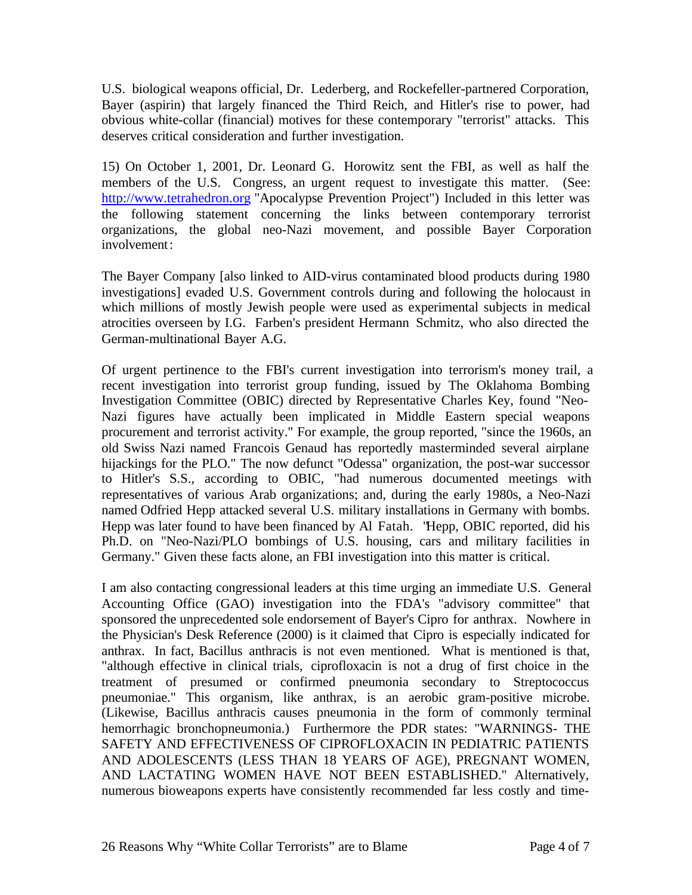U.S. biological weapons official, Dr. Lederberg, and Rockefeller-partnered Corporation, Bayer (aspirin) that largely financed the Third Reich, and Hitler's rise to power, had obvious white-collar (financial) motives for these contemporary "terrorist" attacks. This deserves critical consideration and further investigation.

15) On October 1, 2001, Dr. Leonard G. Horowitz sent the FBI, as well as half the members of the U.S. Congress, an urgent request to investigate this matter. (See: http://www.tetrahedron.org "Apocalypse Prevention Project") Included in this letter was the following statement concerning the links between contemporary terrorist organizations, the global neo-Nazi movement, and possible Bayer Corporation involvement:

The Bayer Company [also linked to AID-virus contaminated blood products during 1980 investigations] evaded U.S. Government controls during and following the holocaust in which millions of mostly Jewish people were used as experimental subjects in medical atrocities overseen by I.G. Farben's president Hermann Schmitz, who also directed the German-multinational Bayer A.G.

Of urgent pertinence to the FBI's current investigation into terrorism's money trail, a recent investigation into terrorist group funding, issued by The Oklahoma Bombing Investigation Committee (OBIC) directed by Representative Charles Key, found "Neo-Nazi figures have actually been implicated in Middle Eastern special weapons procurement and terrorist activity." For example, the group reported, "since the 1960s, an old Swiss Nazi named Francois Genaud has reportedly masterminded several airplane hijackings for the PLO." The now defunct "Odessa" organization, the post-war successor to Hitler's S.S., according to OBIC, "had numerous documented meetings with representatives of various Arab organizations; and, during the early 1980s, a Neo-Nazi named Odfried Hepp attacked several U.S. military installations in Germany with bombs. Hepp was later found to have been financed by Al Fatah. "Hepp, OBIC reported, did his Ph.D. on "Neo-Nazi/PLO bombings of U.S. housing, cars and military facilities in Germany." Given these facts alone, an FBI investigation into this matter is critical.

I am also contacting congressional leaders at this time urging an immediate U.S. General Accounting Office (GAO) investigation into the FDA's "advisory committee" that sponsored the unprecedented sole endorsement of Bayer's Cipro for anthrax. Nowhere in the Physician's Desk Reference (2000) is it claimed that Cipro is especially indicated for anthrax. In fact, Bacillus anthracis is not even mentioned. What is mentioned is that, "although effective in clinical trials, ciprofloxacin is not a drug of first choice in the treatment of presumed or confirmed pneumonia secondary to Streptococcus pneumoniae." This organism, like anthrax, is an aerobic gram-positive microbe. (Likewise, Bacillus anthracis causes pneumonia in the form of commonly terminal hemorrhagic bronchopneumonia.) Furthermore the PDR states: "WARNINGS- THE SAFETY AND EFFECTIVENESS OF CIPROFLOXACIN IN PEDIATRIC PATIENTS AND ADOLESCENTS (LESS THAN 18 YEARS OF AGE), PREGNANT WOMEN, AND LACTATING WOMEN HAVE NOT BEEN ESTABLISHED." Alternatively, numerous bioweapons experts have consistently recommended far less costly and time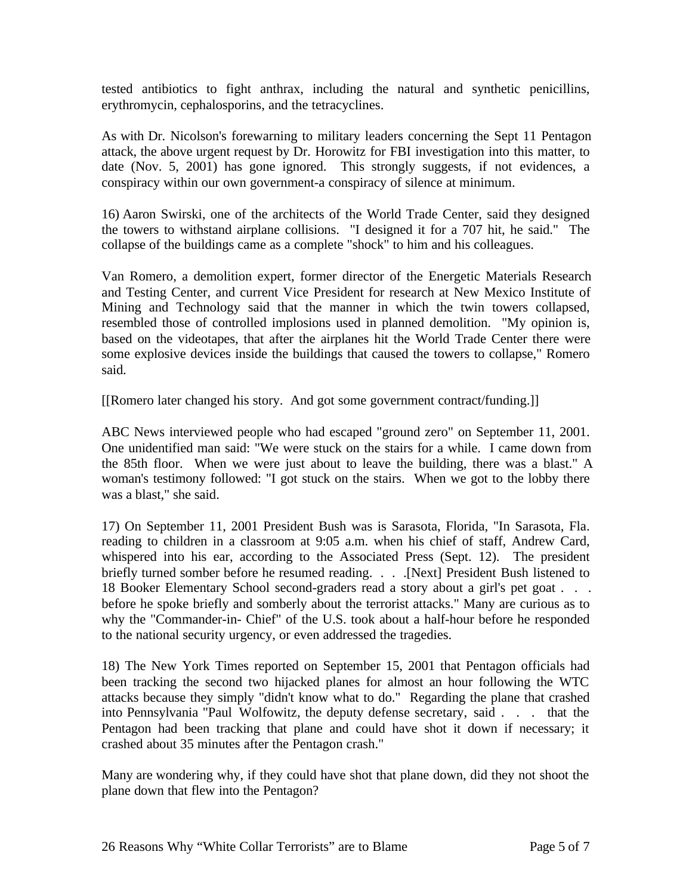tested antibiotics to fight anthrax, including the natural and synthetic penicillins, erythromycin, cephalosporins, and the tetracyclines.

As with Dr. Nicolson's forewarning to military leaders concerning the Sept 11 Pentagon attack, the above urgent request by Dr. Horowitz for FBI investigation into this matter, to date (Nov. 5, 2001) has gone ignored. This strongly suggests, if not evidences, a conspiracy within our own government-a conspiracy of silence at minimum.

16) Aaron Swirski, one of the architects of the World Trade Center, said they designed the towers to withstand airplane collisions. "I designed it for a 707 hit, he said." The collapse of the buildings came as a complete "shock" to him and his colleagues.

Van Romero, a demolition expert, former director of the Energetic Materials Research and Testing Center, and current Vice President for research at New Mexico Institute of Mining and Technology said that the manner in which the twin towers collapsed, resembled those of controlled implosions used in planned demolition. "My opinion is, based on the videotapes, that after the airplanes hit the World Trade Center there were some explosive devices inside the buildings that caused the towers to collapse," Romero said.

[[Romero later changed his story. And got some government contract/funding.]]

ABC News interviewed people who had escaped "ground zero" on September 11, 2001. One unidentified man said: "We were stuck on the stairs for a while. I came down from the 85th floor. When we were just about to leave the building, there was a blast." A woman's testimony followed: "I got stuck on the stairs. When we got to the lobby there was a blast," she said.

17) On September 11, 2001 President Bush was is Sarasota, Florida, "In Sarasota, Fla. reading to children in a classroom at 9:05 a.m. when his chief of staff, Andrew Card, whispered into his ear, according to the Associated Press (Sept. 12). The president briefly turned somber before he resumed reading. . . . . [Next] President Bush listened to 18 Booker Elementary School second-graders read a story about a girl's pet goat . . . before he spoke briefly and somberly about the terrorist attacks." Many are curious as to why the "Commander-in- Chief" of the U.S. took about a half-hour before he responded to the national security urgency, or even addressed the tragedies.

18) The New York Times reported on September 15, 2001 that Pentagon officials had been tracking the second two hijacked planes for almost an hour following the WTC attacks because they simply "didn't know what to do." Regarding the plane that crashed into Pennsylvania "Paul Wolfowitz, the deputy defense secretary, said . . . that the Pentagon had been tracking that plane and could have shot it down if necessary; it crashed about 35 minutes after the Pentagon crash."

Many are wondering why, if they could have shot that plane down, did they not shoot the plane down that flew into the Pentagon?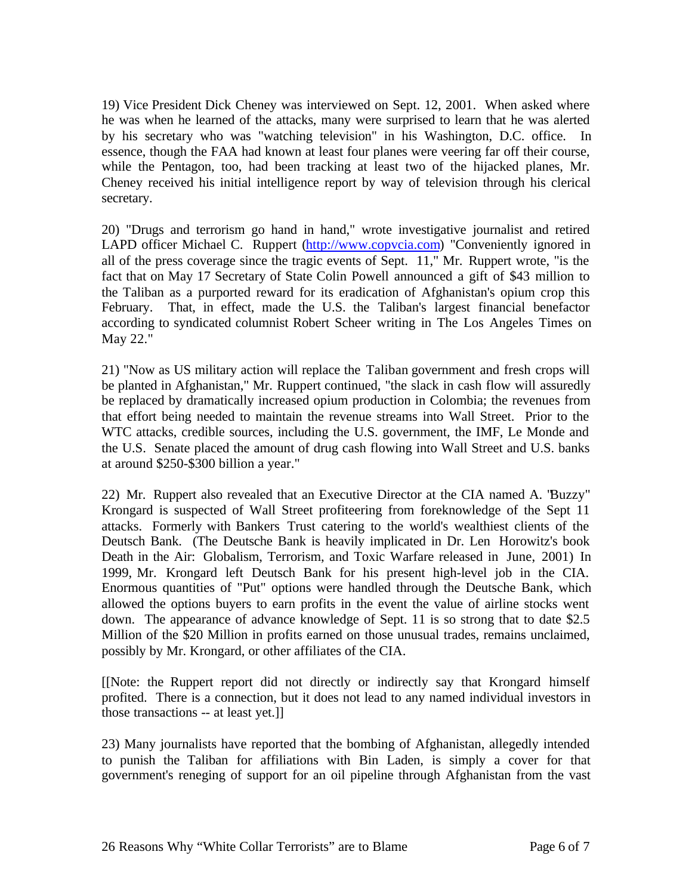19) Vice President Dick Cheney was interviewed on Sept. 12, 2001. When asked where he was when he learned of the attacks, many were surprised to learn that he was alerted by his secretary who was "watching television" in his Washington, D.C. office. In essence, though the FAA had known at least four planes were veering far off their course, while the Pentagon, too, had been tracking at least two of the hijacked planes, Mr. Cheney received his initial intelligence report by way of television through his clerical secretary.

20) "Drugs and terrorism go hand in hand," wrote investigative journalist and retired LAPD officer Michael C. Ruppert (http://www.copvcia.com) "Conveniently ignored in all of the press coverage since the tragic events of Sept. 11," Mr. Ruppert wrote, "is the fact that on May 17 Secretary of State Colin Powell announced a gift of \$43 million to the Taliban as a purported reward for its eradication of Afghanistan's opium crop this February. That, in effect, made the U.S. the Taliban's largest financial benefactor according to syndicated columnist Robert Scheer writing in The Los Angeles Times on May 22."

21) "Now as US military action will replace the Taliban government and fresh crops will be planted in Afghanistan," Mr. Ruppert continued, "the slack in cash flow will assuredly be replaced by dramatically increased opium production in Colombia; the revenues from that effort being needed to maintain the revenue streams into Wall Street. Prior to the WTC attacks, credible sources, including the U.S. government, the IMF, Le Monde and the U.S. Senate placed the amount of drug cash flowing into Wall Street and U.S. banks at around \$250-\$300 billion a year."

22) Mr. Ruppert also revealed that an Executive Director at the CIA named A. "Buzzy" Krongard is suspected of Wall Street profiteering from foreknowledge of the Sept 11 attacks. Formerly with Bankers Trust catering to the world's wealthiest clients of the Deutsch Bank. (The Deutsche Bank is heavily implicated in Dr. Len Horowitz's book Death in the Air: Globalism, Terrorism, and Toxic Warfare released in June, 2001) In 1999, Mr. Krongard left Deutsch Bank for his present high-level job in the CIA. Enormous quantities of "Put" options were handled through the Deutsche Bank, which allowed the options buyers to earn profits in the event the value of airline stocks went down. The appearance of advance knowledge of Sept. 11 is so strong that to date \$2.5 Million of the \$20 Million in profits earned on those unusual trades, remains unclaimed, possibly by Mr. Krongard, or other affiliates of the CIA.

[[Note: the Ruppert report did not directly or indirectly say that Krongard himself profited. There is a connection, but it does not lead to any named individual investors in those transactions -- at least yet.]]

23) Many journalists have reported that the bombing of Afghanistan, allegedly intended to punish the Taliban for affiliations with Bin Laden, is simply a cover for that government's reneging of support for an oil pipeline through Afghanistan from the vast